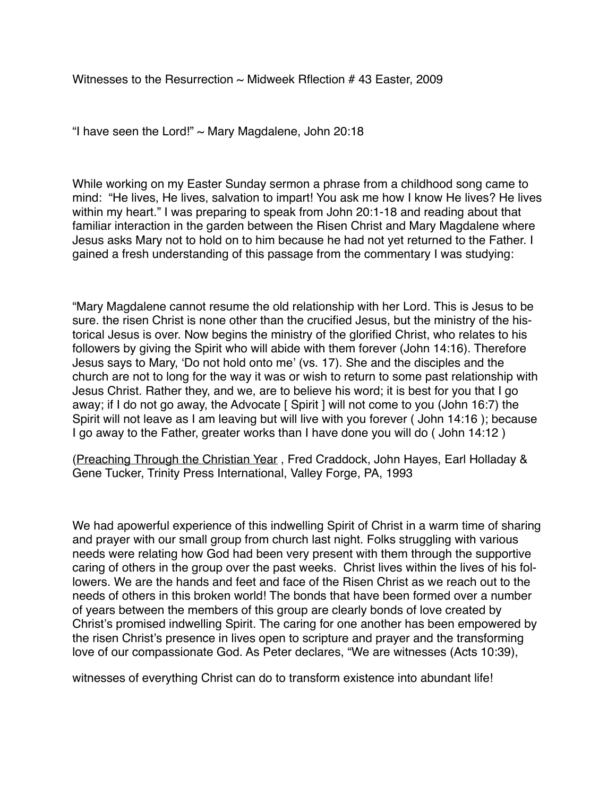Witnesses to the Resurrection  $\sim$  Midweek Rflection # 43 Easter, 2009

"I have seen the Lord!"  $\sim$  Mary Magdalene, John 20:18

While working on my Easter Sunday sermon a phrase from a childhood song came to mind: "He lives, He lives, salvation to impart! You ask me how I know He lives? He lives within my heart." I was preparing to speak from John 20:1-18 and reading about that familiar interaction in the garden between the Risen Christ and Mary Magdalene where Jesus asks Mary not to hold on to him because he had not yet returned to the Father. I gained a fresh understanding of this passage from the commentary I was studying:

"Mary Magdalene cannot resume the old relationship with her Lord. This is Jesus to be sure. the risen Christ is none other than the crucified Jesus, but the ministry of the historical Jesus is over. Now begins the ministry of the glorified Christ, who relates to his followers by giving the Spirit who will abide with them forever (John 14:16). Therefore Jesus says to Mary, 'Do not hold onto me' (vs. 17). She and the disciples and the church are not to long for the way it was or wish to return to some past relationship with Jesus Christ. Rather they, and we, are to believe his word; it is best for you that I go away; if I do not go away, the Advocate [ Spirit ] will not come to you (John 16:7) the Spirit will not leave as I am leaving but will live with you forever ( John 14:16 ); because I go away to the Father, greater works than I have done you will do ( John 14:12 )

(Preaching Through the Christian Year , Fred Craddock, John Hayes, Earl Holladay & Gene Tucker, Trinity Press International, Valley Forge, PA, 1993

We had apowerful experience of this indwelling Spirit of Christ in a warm time of sharing and prayer with our small group from church last night. Folks struggling with various needs were relating how God had been very present with them through the supportive caring of others in the group over the past weeks. Christ lives within the lives of his followers. We are the hands and feet and face of the Risen Christ as we reach out to the needs of others in this broken world! The bonds that have been formed over a number of years between the members of this group are clearly bonds of love created by Christ's promised indwelling Spirit. The caring for one another has been empowered by the risen Christ's presence in lives open to scripture and prayer and the transforming love of our compassionate God. As Peter declares, "We are witnesses (Acts 10:39),

witnesses of everything Christ can do to transform existence into abundant life!